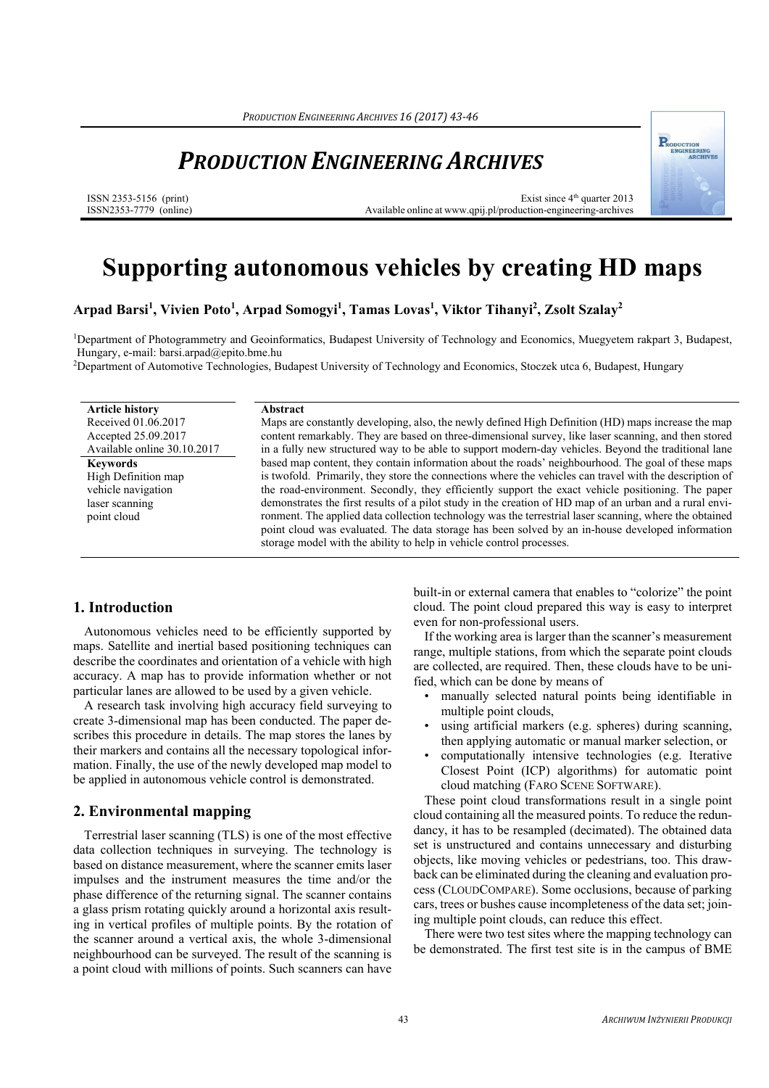# *PRODUCTION ENGINEERING ARCHIVES*

ISSN 2353-5156 (print) ISSN2353-7779 (online)

Exist since 4<sup>th</sup> quarter 2013 Available online at www.qpij.pl/production-engineering-archives



**Arpad Barsi1 , Vivien Poto1 , Arpad Somogyi1 , Tamas Lovas1 , Viktor Tihanyi2 , Zsolt Szalay2**

1Department of Photogrammetry and Geoinformatics, Budapest University of Technology and Economics, Muegyetem rakpart 3, Budapest, Hungary, e-mail: barsi.arpad@epito.bme.hu

2Department of Automotive Technologies, Budapest University of Technology and Economics, Stoczek utca 6, Budapest, Hungary

**Article history**  Received 01.06.2017 Accepted 25.09.2017 Available online 30.10.2017 **Keywords**  High Definition map vehicle navigation laser scanning point cloud

#### **Abstract**

Maps are constantly developing, also, the newly defined High Definition (HD) maps increase the map content remarkably. They are based on three-dimensional survey, like laser scanning, and then stored in a fully new structured way to be able to support modern-day vehicles. Beyond the traditional lane based map content, they contain information about the roads' neighbourhood. The goal of these maps is twofold. Primarily, they store the connections where the vehicles can travel with the description of the road-environment. Secondly, they efficiently support the exact vehicle positioning. The paper demonstrates the first results of a pilot study in the creation of HD map of an urban and a rural environment. The applied data collection technology was the terrestrial laser scanning, where the obtained point cloud was evaluated. The data storage has been solved by an in-house developed information storage model with the ability to help in vehicle control processes.

### **1. Introduction**

Autonomous vehicles need to be efficiently supported by maps. Satellite and inertial based positioning techniques can describe the coordinates and orientation of a vehicle with high accuracy. A map has to provide information whether or not particular lanes are allowed to be used by a given vehicle.

A research task involving high accuracy field surveying to create 3-dimensional map has been conducted. The paper describes this procedure in details. The map stores the lanes by their markers and contains all the necessary topological information. Finally, the use of the newly developed map model to be applied in autonomous vehicle control is demonstrated.

#### **2. Environmental mapping**

Terrestrial laser scanning (TLS) is one of the most effective data collection techniques in surveying. The technology is based on distance measurement, where the scanner emits laser impulses and the instrument measures the time and/or the phase difference of the returning signal. The scanner contains a glass prism rotating quickly around a horizontal axis resulting in vertical profiles of multiple points. By the rotation of the scanner around a vertical axis, the whole 3-dimensional neighbourhood can be surveyed. The result of the scanning is a point cloud with millions of points. Such scanners can have

built-in or external camera that enables to "colorize" the point cloud. The point cloud prepared this way is easy to interpret even for non-professional users.

If the working area is larger than the scanner's measurement range, multiple stations, from which the separate point clouds are collected, are required. Then, these clouds have to be unified, which can be done by means of

- manually selected natural points being identifiable in multiple point clouds,
- using artificial markers (e.g. spheres) during scanning, then applying automatic or manual marker selection, or
- computationally intensive technologies (e.g. Iterative Closest Point (ICP) algorithms) for automatic point cloud matching (FARO SCENE SOFTWARE).

These point cloud transformations result in a single point cloud containing all the measured points. To reduce the redundancy, it has to be resampled (decimated). The obtained data set is unstructured and contains unnecessary and disturbing objects, like moving vehicles or pedestrians, too. This drawback can be eliminated during the cleaning and evaluation process (CLOUDCOMPARE). Some occlusions, because of parking cars, trees or bushes cause incompleteness of the data set; joining multiple point clouds, can reduce this effect.

There were two test sites where the mapping technology can be demonstrated. The first test site is in the campus of BME

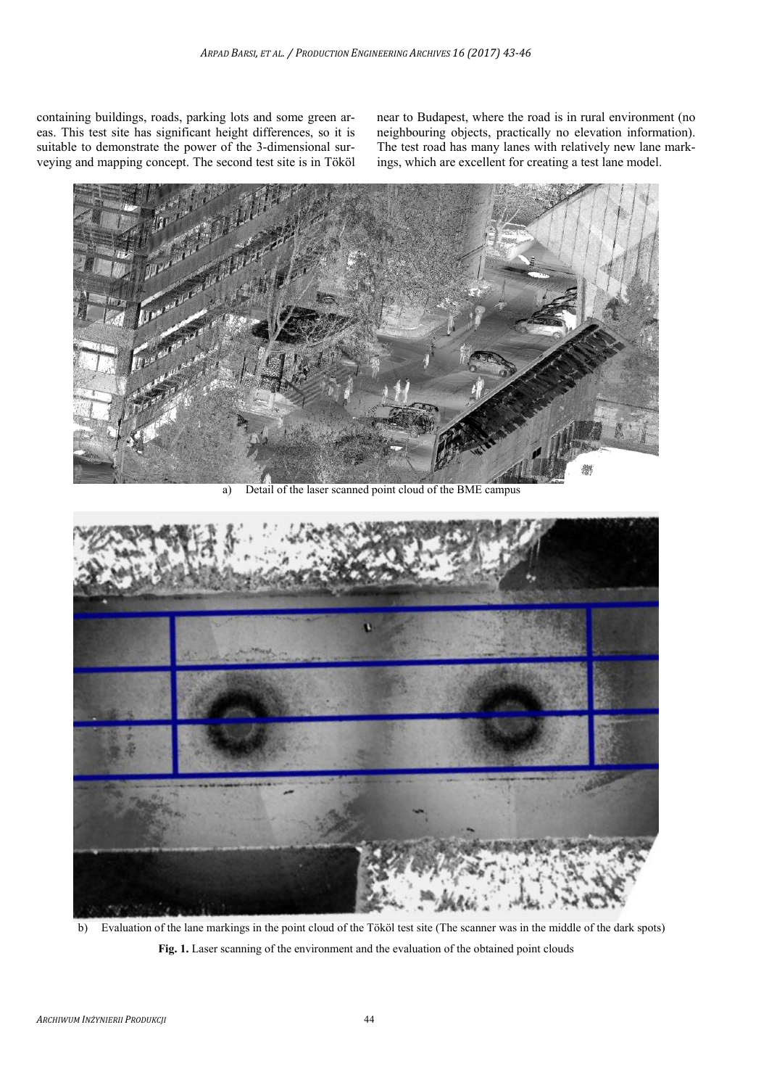containing buildings, roads, parking lots and some green areas. This test site has significant height differences, so it is suitable to demonstrate the power of the 3-dimensional surveying and mapping concept. The second test site is in Tököl near to Budapest, where the road is in rural environment (no neighbouring objects, practically no elevation information). The test road has many lanes with relatively new lane markings, which are excellent for creating a test lane model.



a) Detail of the laser scanned point cloud of the BME campus



b) Evaluation of the lane markings in the point cloud of the Tököl test site (The scanner was in the middle of the dark spots) **Fig. 1.** Laser scanning of the environment and the evaluation of the obtained point clouds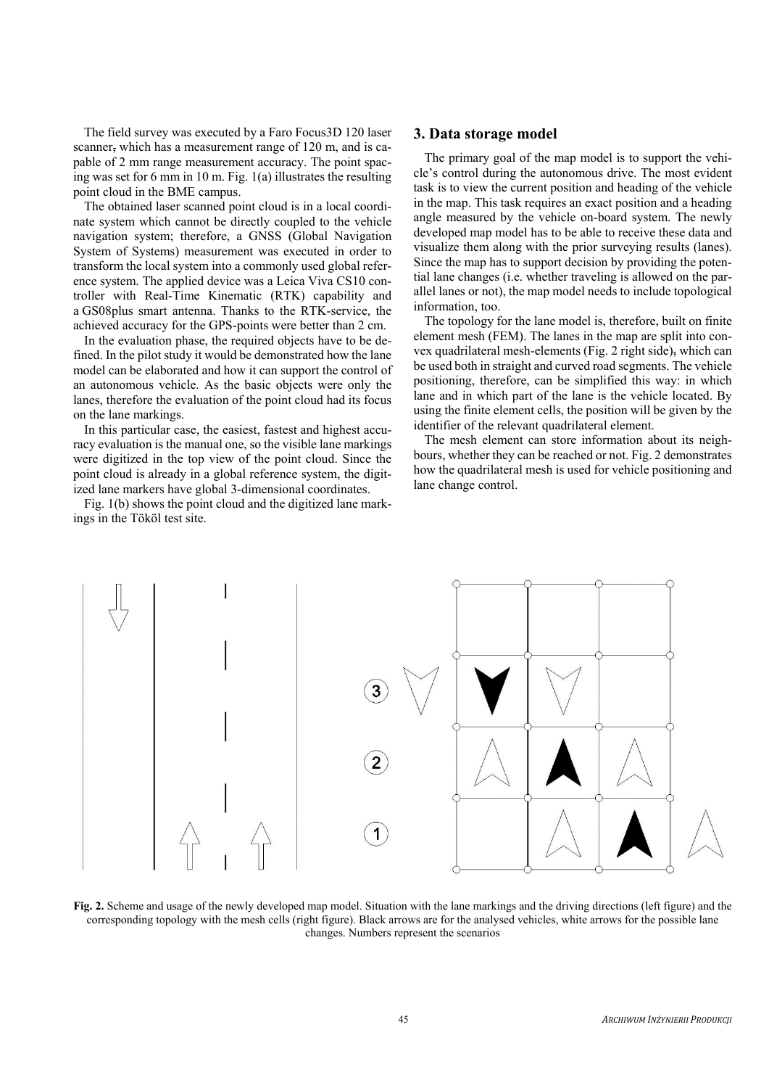The field survey was executed by a Faro Focus3D 120 laser scanner, which has a measurement range of 120 m, and is capable of 2 mm range measurement accuracy. The point spacing was set for 6 mm in 10 m. Fig. 1(a) illustrates the resulting point cloud in the BME campus.

The obtained laser scanned point cloud is in a local coordinate system which cannot be directly coupled to the vehicle navigation system; therefore, a GNSS (Global Navigation System of Systems) measurement was executed in order to transform the local system into a commonly used global reference system. The applied device was a Leica Viva CS10 controller with Real-Time Kinematic (RTK) capability and a GS08plus smart antenna. Thanks to the RTK-service, the achieved accuracy for the GPS-points were better than 2 cm.

In the evaluation phase, the required objects have to be defined. In the pilot study it would be demonstrated how the lane model can be elaborated and how it can support the control of an autonomous vehicle. As the basic objects were only the lanes, therefore the evaluation of the point cloud had its focus on the lane markings.

In this particular case, the easiest, fastest and highest accuracy evaluation is the manual one, so the visible lane markings were digitized in the top view of the point cloud. Since the point cloud is already in a global reference system, the digitized lane markers have global 3-dimensional coordinates.

Fig. 1(b) shows the point cloud and the digitized lane markings in the Tököl test site.

#### **3. Data storage model**

The primary goal of the map model is to support the vehicle's control during the autonomous drive. The most evident task is to view the current position and heading of the vehicle in the map. This task requires an exact position and a heading angle measured by the vehicle on-board system. The newly developed map model has to be able to receive these data and visualize them along with the prior surveying results (lanes). Since the map has to support decision by providing the potential lane changes (i.e. whether traveling is allowed on the parallel lanes or not), the map model needs to include topological information, too.

The topology for the lane model is, therefore, built on finite element mesh (FEM). The lanes in the map are split into convex quadrilateral mesh-elements (Fig. 2 right side), which can be used both in straight and curved road segments. The vehicle positioning, therefore, can be simplified this way: in which lane and in which part of the lane is the vehicle located. By using the finite element cells, the position will be given by the identifier of the relevant quadrilateral element.

The mesh element can store information about its neighbours, whether they can be reached or not. Fig. 2 demonstrates how the quadrilateral mesh is used for vehicle positioning and lane change control.



**Fig. 2.** Scheme and usage of the newly developed map model. Situation with the lane markings and the driving directions (left figure) and the corresponding topology with the mesh cells (right figure). Black arrows are for the analysed vehicles, white arrows for the possible lane changes. Numbers represent the scenarios